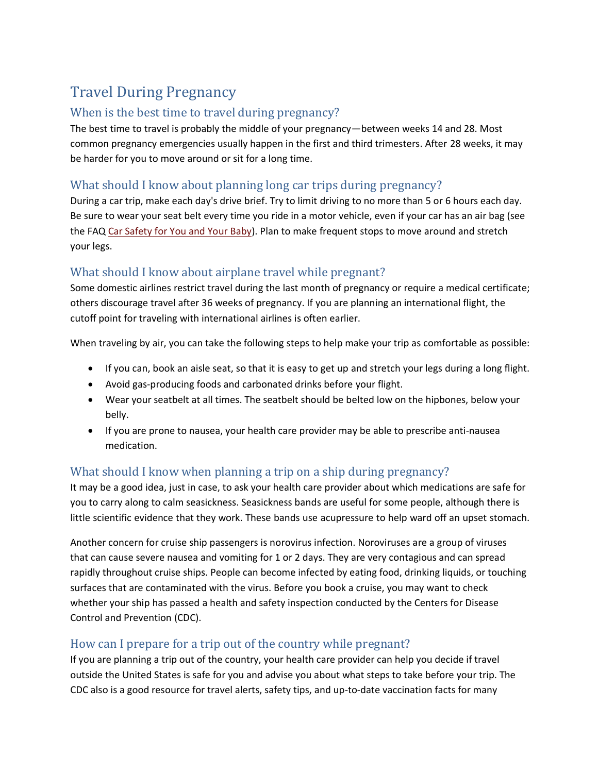# Travel During Pregnancy

### When is the best time to travel during pregnancy?

The best time to travel is probably the middle of your pregnancy—between weeks 14 and 28. Most common pregnancy emergencies usually happen in the first and third trimesters. After 28 weeks, it may be harder for you to move around or sit for a long time.

## What should I know about planning long car trips during pregnancy?

During a car trip, make each day's drive brief. Try to limit driving to no more than 5 or 6 hours each day. Be sure to wear your seat belt every time you ride in a motor vehicle, even if your car has an air bag (see the FA[Q Car Safety for You and Your Baby\)](http://www.acog.org/publications/faq/faq018.cfm). Plan to make frequent stops to move around and stretch your legs.

## What should I know about airplane travel while pregnant?

Some domestic airlines restrict travel during the last month of pregnancy or require a medical certificate; others discourage travel after 36 weeks of pregnancy. If you are planning an international flight, the cutoff point for traveling with international airlines is often earlier.

When traveling by air, you can take the following steps to help make your trip as comfortable as possible:

- If you can, book an aisle seat, so that it is easy to get up and stretch your legs during a long flight.
- Avoid gas-producing foods and carbonated drinks before your flight.
- Wear your seatbelt at all times. The seatbelt should be belted low on the hipbones, below your belly.
- If you are prone to nausea, your health care provider may be able to prescribe anti-nausea medication.

## What should I know when planning a trip on a ship during pregnancy?

It may be a good idea, just in case, to ask your health care provider about which medications are safe for you to carry along to calm seasickness. Seasickness bands are useful for some people, although there is little scientific evidence that they work. These bands use acupressure to help ward off an upset stomach.

Another concern for cruise ship passengers is norovirus infection. Noroviruses are a group of viruses that can cause severe nausea and vomiting for 1 or 2 days. They are very contagious and can spread rapidly throughout cruise ships. People can become infected by eating food, drinking liquids, or touching surfaces that are contaminated with the virus. Before you book a cruise, you may want to check whether your ship has passed a health and safety inspection conducted by the Centers for Disease Control and Prevention (CDC).

#### How can I prepare for a trip out of the country while pregnant?

If you are planning a trip out of the country, your health care provider can help you decide if travel outside the United States is safe for you and advise you about what steps to take before your trip. The CDC also is a good resource for travel alerts, safety tips, and up-to-date vaccination facts for many